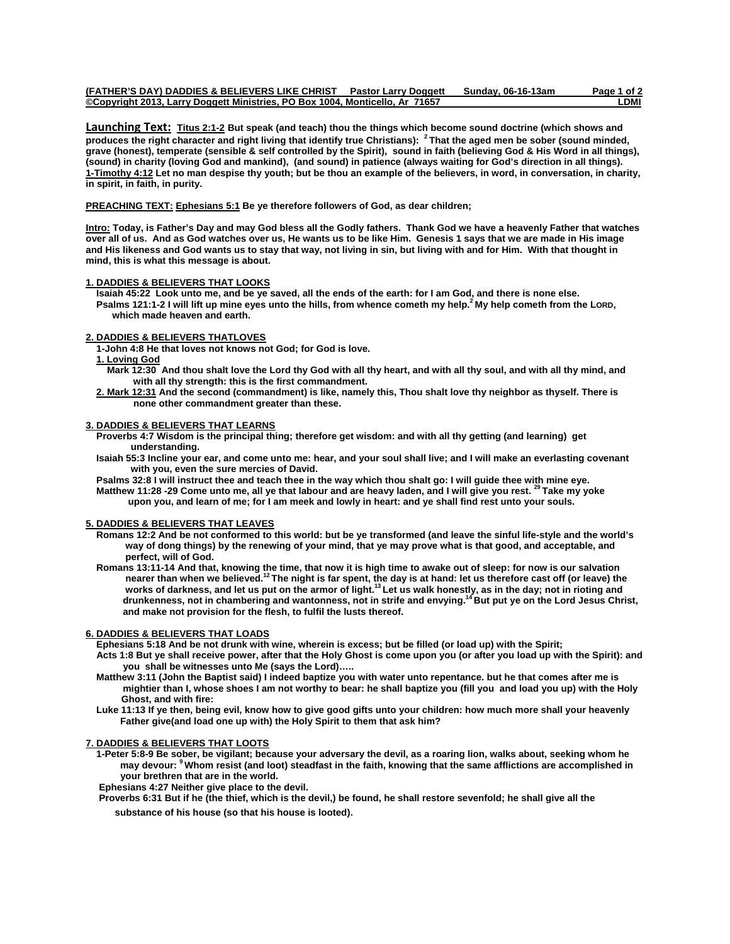| (FATHER'S DAY) DADDIES & BELIEVERS LIKE CHRIST                               | <b>Pastor Larry Doggett</b> | Sundav. 06-16-13am | Page 1 of 2 |
|------------------------------------------------------------------------------|-----------------------------|--------------------|-------------|
| ©Copyright 2013, Larry Doggett Ministries, PO Box 1004, Monticello, Ar 71657 |                             |                    | -DMI        |

**Launching Text: Titus 2:1-2 But speak (and teach) thou the things which become sound doctrine (which shows and produces the right character and right living that identify true Christians): 2 That the aged men be sober (sound minded, grave (honest), temperate (sensible & self controlled by the Spirit), sound in faith (believing God & His Word in all things), (sound) in charity (loving God and mankind), (and sound) in patience (always waiting for God's direction in all things). 1-Timothy 4:12 Let no man despise thy youth; but be thou an example of the believers, in word, in conversation, in charity, in spirit, in faith, in purity.** 

**PREACHING TEXT: Ephesians 5:1 Be ye therefore followers of God, as dear children;** 

**Intro: Today, is Father's Day and may God bless all the Godly fathers. Thank God we have a heavenly Father that watches over all of us. And as God watches over us, He wants us to be like Him. Genesis 1 says that we are made in His image and His likeness and God wants us to stay that way, not living in sin, but living with and for Him. With that thought in mind, this is what this message is about.** 

### **1. DADDIES & BELIEVERS THAT LOOKS**

 **Isaiah 45:22 Look unto me, and be ye saved, all the ends of the earth: for I am God, and there is none else. Psalms 121:1-2 I will lift up mine eyes unto the hills, from whence cometh my help.2 My help cometh from the LORD, which made heaven and earth.**

# **2. DADDIES & BELIEVERS THATLOVES**

 **1-John 4:8 He that loves not knows not God; for God is love.** 

## **1. Loving God**

- **Mark 12:30 And thou shalt love the Lord thy God with all thy heart, and with all thy soul, and with all thy mind, and with all thy strength: this is the first commandment.**
- **2. Mark 12:31 And the second (commandment) is like, namely this, Thou shalt love thy neighbor as thyself. There is none other commandment greater than these.**

# **3. DADDIES & BELIEVERS THAT LEARNS**

- **Proverbs 4:7 Wisdom is the principal thing; therefore get wisdom: and with all thy getting (and learning) get understanding.**
- **Isaiah 55:3 Incline your ear, and come unto me: hear, and your soul shall live; and I will make an everlasting covenant with you, even the sure mercies of David.**

 **Psalms 32:8 I will instruct thee and teach thee in the way which thou shalt go: I will guide thee with mine eye. Matthew 11:28 -29 Come unto me, all ye that labour and are heavy laden, and I will give you rest. 29 Take my yoke upon you, and learn of me; for I am meek and lowly in heart: and ye shall find rest unto your souls.** 

### **5. DADDIES & BELIEVERS THAT LEAVES**

- **Romans 12:2 And be not conformed to this world: but be ye transformed (and leave the sinful life-style and the world's way of dong things) by the renewing of your mind, that ye may prove what is that good, and acceptable, and perfect, will of God.**
- **Romans 13:11-14 And that, knowing the time, that now it is high time to awake out of sleep: for now is our salvation nearer than when we believed.12 The night is far spent, the day is at hand: let us therefore cast off (or leave) the**  works of darkness, and let us put on the armor of light.<sup>13</sup> Let us walk honestly, as in the day; not in rioting and  **drunkenness, not in chambering and wantonness, not in strife and envying.14 But put ye on the Lord Jesus Christ, and make not provision for the flesh, to fulfil the lusts thereof.**

## **6. DADDIES & BELIEVERS THAT LOADS**

 **Ephesians 5:18 And be not drunk with wine, wherein is excess; but be filled (or load up) with the Spirit;** 

- **Acts 1:8 But ye shall receive power, after that the Holy Ghost is come upon you (or after you load up with the Spirit): and you shall be witnesses unto Me (says the Lord)…..**
- **Matthew 3:11 (John the Baptist said) I indeed baptize you with water unto repentance. but he that comes after me is mightier than I, whose shoes I am not worthy to bear: he shall baptize you (fill you and load you up) with the Holy Ghost, and with fire:**
- **Luke 11:13 If ye then, being evil, know how to give good gifts unto your children: how much more shall your heavenly Father give(and load one up with) the Holy Spirit to them that ask him?**

# **7. DADDIES & BELIEVERS THAT LOOTS**

 **1-Peter 5:8-9 Be sober, be vigilant; because your adversary the devil, as a roaring lion, walks about, seeking whom he may devour: 9 Whom resist (and loot) steadfast in the faith, knowing that the same afflictions are accomplished in your brethren that are in the world.** 

 **Ephesians 4:27 Neither give place to the devil.** 

 **Proverbs 6:31 But if he (the thief, which is the devil,) be found, he shall restore sevenfold; he shall give all the** 

 **substance of his house (so that his house is looted)**.